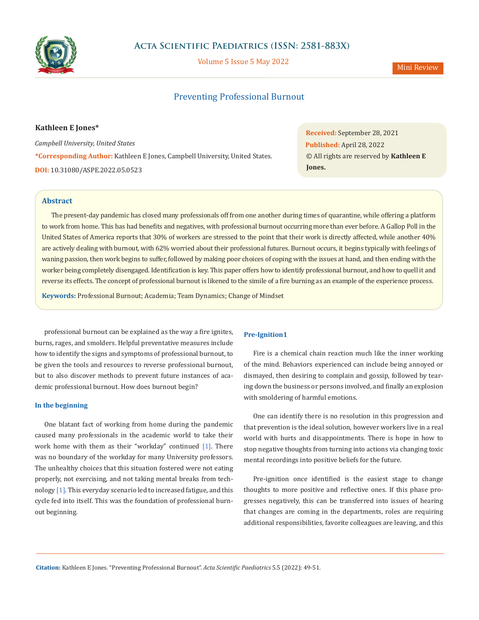

Volume 5 Issue 5 May 2022

# Mini Review

# Preventing Professional Burnout

#### **Kathleen E Jones\***

*Campbell University, United States* **\*Corresponding Author:** Kathleen E Jones, Campbell University, United States. **DOI:** [10.31080/ASPE.2022.05.0523](https://actascientific.com/ASPE/pdf/ASPE-05-0523.pdf)

**Received:** September 28, 2021 **Published:** April 28, 2022 © All rights are reserved by **Kathleen E Jones.**

## **Abstract**

The present-day pandemic has closed many professionals off from one another during times of quarantine, while offering a platform to work from home. This has had benefits and negatives, with professional burnout occurring more than ever before. A Gallop Poll in the United States of America reports that 30% of workers are stressed to the point that their work is directly affected, while another 40% are actively dealing with burnout, with 62% worried about their professional futures. Burnout occurs, it begins typically with feelings of waning passion, then work begins to suffer, followed by making poor choices of coping with the issues at hand, and then ending with the worker being completely disengaged. Identification is key. This paper offers how to identify professional burnout, and how to quell it and reverse its effects. The concept of professional burnout is likened to the simile of a fire burning as an example of the experience process.

**Keywords:** Professional Burnout; Academia; Team Dynamics; Change of Mindset

professional burnout can be explained as the way a fire ignites, burns, rages, and smolders. Helpful preventative measures include how to identify the signs and symptoms of professional burnout, to be given the tools and resources to reverse professional burnout, but to also discover methods to prevent future instances of academic professional burnout. How does burnout begin?

## **In the beginning**

One blatant fact of working from home during the pandemic caused many professionals in the academic world to take their work home with them as their "workday" continued [1]. There was no boundary of the workday for many University professors. The unhealthy choices that this situation fostered were not eating properly, not exercising, and not taking mental breaks from technology [1]. This everyday scenario led to increased fatigue, and this cycle fed into itself. This was the foundation of professional burnout beginning.

#### **Pre-Ignition1**

Fire is a chemical chain reaction much like the inner working of the mind. Behaviors experienced can include being annoyed or dismayed, then desiring to complain and gossip, followed by tearing down the business or persons involved, and finally an explosion with smoldering of harmful emotions.

One can identify there is no resolution in this progression and that prevention is the ideal solution, however workers live in a real world with hurts and disappointments. There is hope in how to stop negative thoughts from turning into actions via changing toxic mental recordings into positive beliefs for the future.

Pre-ignition once identified is the easiest stage to change thoughts to more positive and reflective ones. If this phase progresses negatively, this can be transferred into issues of hearing that changes are coming in the departments, roles are requiring additional responsibilities, favorite colleagues are leaving, and this

**Citation:** Kathleen E Jones*.* "Preventing Professional Burnout". *Acta Scientific Paediatrics* 5.5 (2022): 49-51.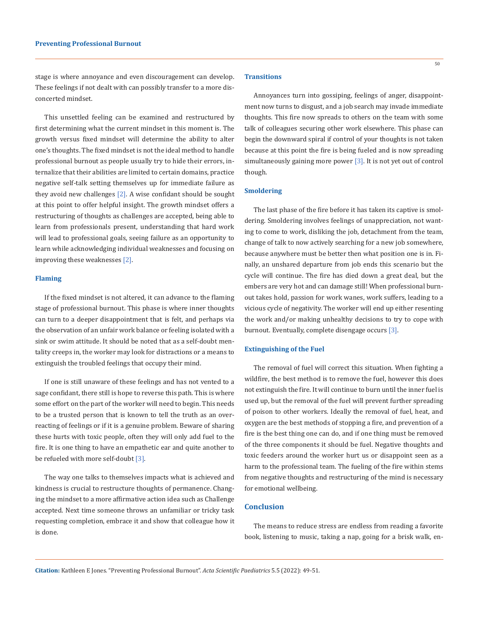stage is where annoyance and even discouragement can develop. These feelings if not dealt with can possibly transfer to a more disconcerted mindset.

This unsettled feeling can be examined and restructured by first determining what the current mindset in this moment is. The growth versus fixed mindset will determine the ability to alter one's thoughts. The fixed mindset is not the ideal method to handle professional burnout as people usually try to hide their errors, internalize that their abilities are limited to certain domains, practice negative self-talk setting themselves up for immediate failure as they avoid new challenges  $[2]$ . A wise confidant should be sought at this point to offer helpful insight. The growth mindset offers a restructuring of thoughts as challenges are accepted, being able to learn from professionals present, understanding that hard work will lead to professional goals, seeing failure as an opportunity to learn while acknowledging individual weaknesses and focusing on improving these weaknesses [2].

#### **Flaming**

If the fixed mindset is not altered, it can advance to the flaming stage of professional burnout. This phase is where inner thoughts can turn to a deeper disappointment that is felt, and perhaps via the observation of an unfair work balance or feeling isolated with a sink or swim attitude. It should be noted that as a self-doubt mentality creeps in, the worker may look for distractions or a means to extinguish the troubled feelings that occupy their mind.

If one is still unaware of these feelings and has not vented to a sage confidant, there still is hope to reverse this path. This is where some effort on the part of the worker will need to begin. This needs to be a trusted person that is known to tell the truth as an overreacting of feelings or if it is a genuine problem. Beware of sharing these hurts with toxic people, often they will only add fuel to the fire. It is one thing to have an empathetic ear and quite another to be refueled with more self-doubt [3].

The way one talks to themselves impacts what is achieved and kindness is crucial to restructure thoughts of permanence. Changing the mindset to a more affirmative action idea such as Challenge accepted. Next time someone throws an unfamiliar or tricky task requesting completion, embrace it and show that colleague how it is done.

#### **Transitions**

Annoyances turn into gossiping, feelings of anger, disappointment now turns to disgust, and a job search may invade immediate thoughts. This fire now spreads to others on the team with some talk of colleagues securing other work elsewhere. This phase can begin the downward spiral if control of your thoughts is not taken because at this point the fire is being fueled and is now spreading simultaneously gaining more power [3]. It is not yet out of control though.

#### **Smoldering**

The last phase of the fire before it has taken its captive is smoldering. Smoldering involves feelings of unappreciation, not wanting to come to work, disliking the job, detachment from the team, change of talk to now actively searching for a new job somewhere, because anywhere must be better then what position one is in. Finally, an unshared departure from job ends this scenario but the cycle will continue. The fire has died down a great deal, but the embers are very hot and can damage still! When professional burnout takes hold, passion for work wanes, work suffers, leading to a vicious cycle of negativity. The worker will end up either resenting the work and/or making unhealthy decisions to try to cope with burnout. Eventually, complete disengage occurs [3].

## **Extinguishing of the Fuel**

The removal of fuel will correct this situation. When fighting a wildfire, the best method is to remove the fuel, however this does not extinguish the fire. It will continue to burn until the inner fuel is used up, but the removal of the fuel will prevent further spreading of poison to other workers. Ideally the removal of fuel, heat, and oxygen are the best methods of stopping a fire, and prevention of a fire is the best thing one can do, and if one thing must be removed of the three components it should be fuel. Negative thoughts and toxic feeders around the worker hurt us or disappoint seen as a harm to the professional team. The fueling of the fire within stems from negative thoughts and restructuring of the mind is necessary for emotional wellbeing.

## **Conclusion**

The means to reduce stress are endless from reading a favorite book, listening to music, taking a nap, going for a brisk walk, en